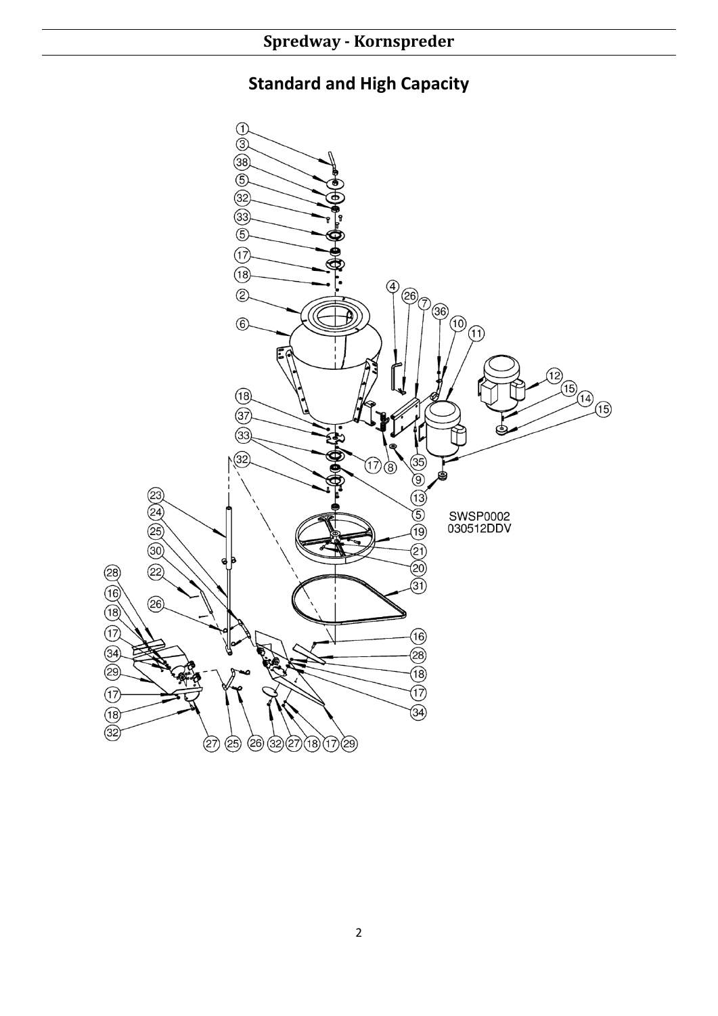## **Standard and High Capacity**

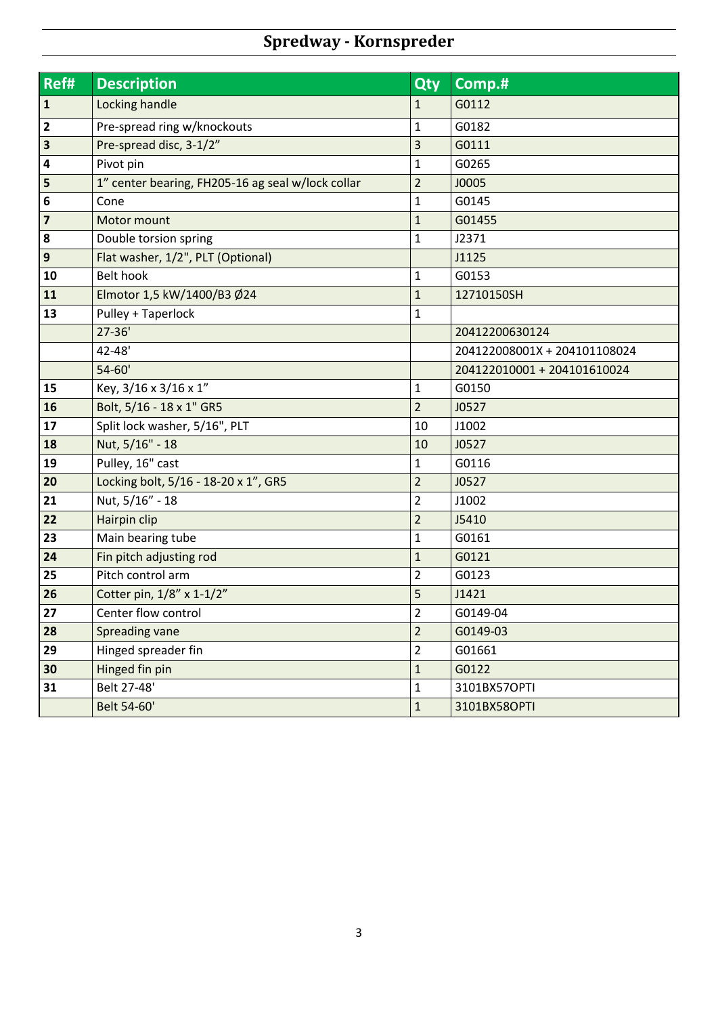## **Spredway - Kornspreder**

| Ref#                    | <b>Description</b>                                | <b>Qty</b>     | Comp.#                       |  |  |
|-------------------------|---------------------------------------------------|----------------|------------------------------|--|--|
| $\mathbf{1}$            | Locking handle                                    | $\mathbf{1}$   | G0112                        |  |  |
| $\overline{\mathbf{2}}$ | Pre-spread ring w/knockouts                       | $\mathbf{1}$   | G0182                        |  |  |
| $\overline{\mathbf{3}}$ | Pre-spread disc, 3-1/2"                           | 3              | G0111                        |  |  |
| 4                       | Pivot pin                                         | $\mathbf{1}$   | G0265                        |  |  |
| 5                       | 1" center bearing, FH205-16 ag seal w/lock collar | $\overline{2}$ | <b>J0005</b>                 |  |  |
| $\bf 6$                 | Cone                                              | $\mathbf 1$    | G0145                        |  |  |
| $\overline{\mathbf{z}}$ | Motor mount                                       | $\mathbf{1}$   | G01455                       |  |  |
| 8                       | Double torsion spring                             | $\mathbf 1$    | J2371                        |  |  |
| $\mathbf{9}$            | Flat washer, 1/2", PLT (Optional)                 |                | J1125                        |  |  |
| 10                      | <b>Belt hook</b>                                  | $\mathbf 1$    | G0153                        |  |  |
| 11                      | Elmotor 1,5 kW/1400/B3 Ø24                        | $\mathbf 1$    | 12710150SH                   |  |  |
| 13                      | Pulley + Taperlock                                | $\mathbf{1}$   | 204                          |  |  |
|                         | $27 - 36'$                                        |                | 20412200630124               |  |  |
|                         | 42-48'                                            |                | 204122008001X + 204101108024 |  |  |
|                         | $54 - 60'$                                        |                | 204122010001 + 204101610024  |  |  |
| 15                      | Key, 3/16 x 3/16 x 1"                             | $\mathbf 1$    | G0150                        |  |  |
| 16                      | Bolt, 5/16 - 18 x 1" GR5                          | $\overline{2}$ | J0527                        |  |  |
| 17                      | Split lock washer, 5/16", PLT                     | 10             | J1002                        |  |  |
| 18                      | Nut, 5/16" - 18                                   | 10             | J0527                        |  |  |
| 19                      | Pulley, 16" cast                                  | $\mathbf{1}$   | G0116                        |  |  |
| 20                      | Locking bolt, 5/16 - 18-20 x 1", GR5              | $\overline{2}$ | J0527                        |  |  |
| 21                      | Nut, 5/16" - 18                                   | $\overline{2}$ | J1002                        |  |  |
| 22                      | Hairpin clip                                      | $\overline{2}$ | J5410                        |  |  |
| 23                      | Main bearing tube                                 | $\mathbf{1}$   | G0161                        |  |  |
| 24                      | Fin pitch adjusting rod                           | $\mathbf 1$    | G0121                        |  |  |
| 25                      | Pitch control arm                                 | $\overline{2}$ | G0123                        |  |  |
| 26                      | Cotter pin, 1/8" x 1-1/2"                         | 5              | J1421                        |  |  |
| 27                      | Center flow control                               | $\overline{2}$ | G0149-04                     |  |  |
| 28                      | Spreading vane                                    | $\overline{2}$ | G0149-03                     |  |  |
| 29                      | Hinged spreader fin                               | $\overline{2}$ | G01661                       |  |  |
| 30                      | Hinged fin pin                                    | $\mathbf 1$    | G0122                        |  |  |
| 31                      | Belt 27-48'                                       | $\mathbf 1$    | 3101BX57OPTI                 |  |  |
|                         | Belt 54-60'                                       | $\mathbf{1}$   | 3101BX58OPTI                 |  |  |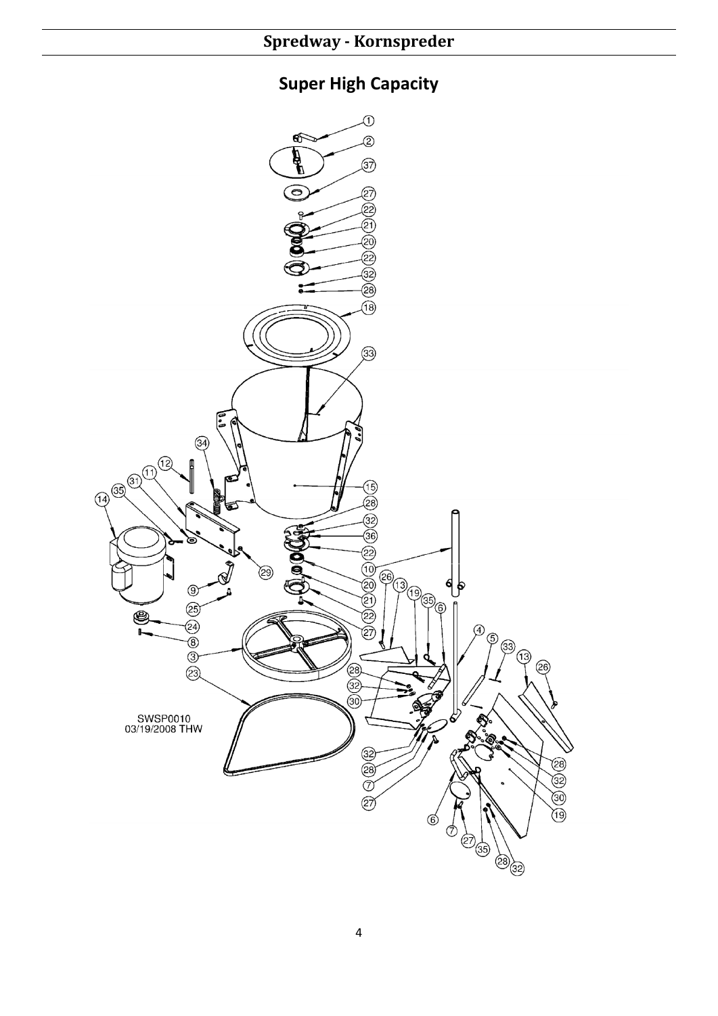## **Super High Capacity**